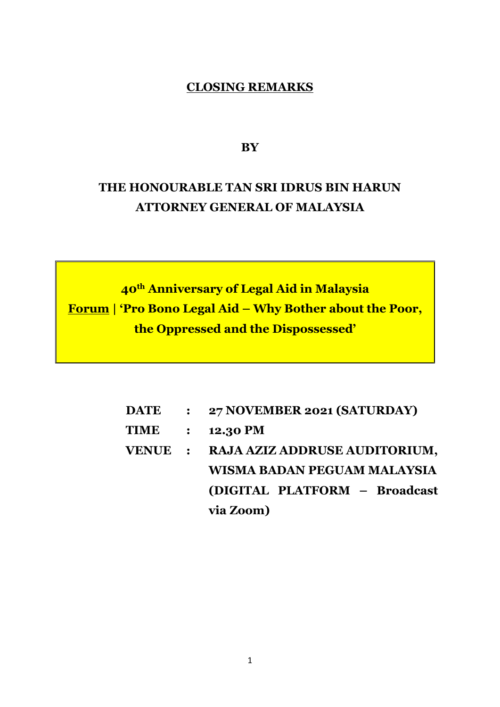## **CLOSING REMARKS**

**BY**

## **THE HONOURABLE TAN SRI IDRUS BIN HARUN ATTORNEY GENERAL OF MALAYSIA**

**40th Anniversary of Legal Aid in Malaysia Forum | 'Pro Bono Legal Aid – Why Bother about the Poor, the Oppressed and the Dispossessed'**

| <b>DATE</b> | $\ddot{\bullet}$ | 27 NOVEMBER 2021 (SATURDAY)           |
|-------------|------------------|---------------------------------------|
| <b>TIME</b> | $\ddot{\bullet}$ | <b>12.30 PM</b>                       |
|             |                  | VENUE : RAJA AZIZ ADDRUSE AUDITORIUM, |
|             |                  | WISMA BADAN PEGUAM MALAYSIA           |
|             |                  | (DIGITAL PLATFORM - Broadcast         |
|             |                  | via Zoom)                             |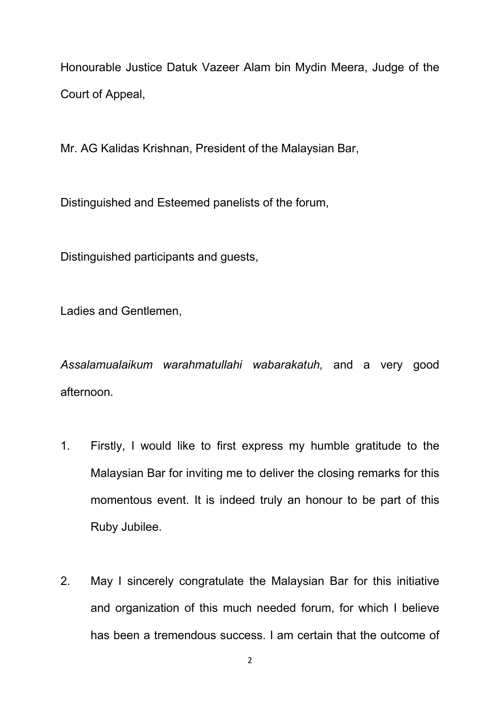Honourable Justice Datuk Vazeer Alam bin Mydin Meera, Judge of the Court of Appeal,

Mr. AG Kalidas Krishnan, President of the Malaysian Bar,

Distinguished and Esteemed panelists of the forum,

Distinguished participants and guests,

Ladies and Gentlemen,

*Assalamualaikum warahmatullahi wabarakatuh,* and a very good afternoon.

- 1. Firstly, I would like to first express my humble gratitude to the Malaysian Bar for inviting me to deliver the closing remarks for this momentous event. It is indeed truly an honour to be part of this Ruby Jubilee.
- 2. May I sincerely congratulate the Malaysian Bar for this initiative and organization of this much needed forum, for which I believe has been a tremendous success. I am certain that the outcome of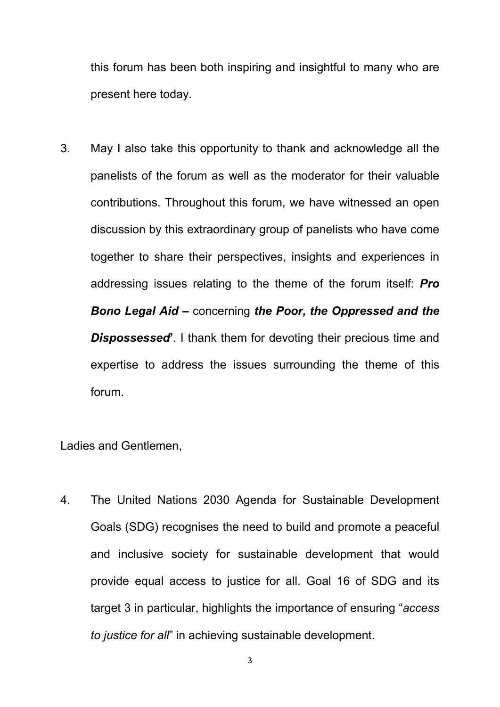this forum has been both inspiring and insightful to many who are present here today.

3. May I also take this opportunity to thank and acknowledge all the panelists of the forum as well as the moderator for their valuable contributions. Throughout this forum, we have witnessed an open discussion by this extraordinary group of panelists who have come together to share their perspectives, insights and experiences in addressing issues relating to the theme of the forum itself: *Pro Bono Legal Aid –* concerning *the Poor, the Oppressed and the Dispossessed***'**. I thank them for devoting their precious time and expertise to address the issues surrounding the theme of this forum.

Ladies and Gentlemen,

4. The United Nations 2030 Agenda for Sustainable Development Goals (SDG) recognises the need to build and promote a peaceful and inclusive society for sustainable development that would provide equal access to justice for all. Goal 16 of SDG and its target 3 in particular, highlights the importance of ensuring "*access to justice for all*" in achieving sustainable development.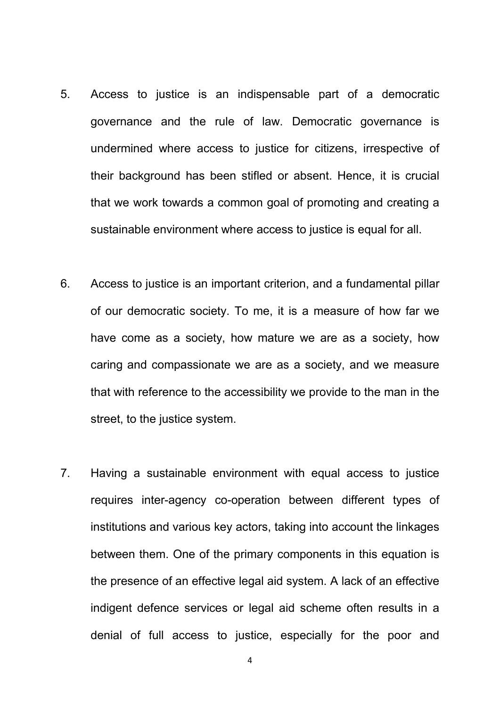- 5. Access to justice is an indispensable part of a democratic governance and the rule of law. Democratic governance is undermined where access to justice for citizens, irrespective of their background has been stifled or absent. Hence, it is crucial that we work towards a common goal of promoting and creating a sustainable environment where access to justice is equal for all.
- 6. Access to justice is an important criterion, and a fundamental pillar of our democratic society. To me, it is a measure of how far we have come as a society, how mature we are as a society, how caring and compassionate we are as a society, and we measure that with reference to the accessibility we provide to the man in the street, to the justice system.
- 7. Having a sustainable environment with equal access to justice requires inter-agency co-operation between different types of institutions and various key actors, taking into account the linkages between them. One of the primary components in this equation is the presence of an effective legal aid system. A lack of an effective indigent defence services or legal aid scheme often results in a denial of full access to justice, especially for the poor and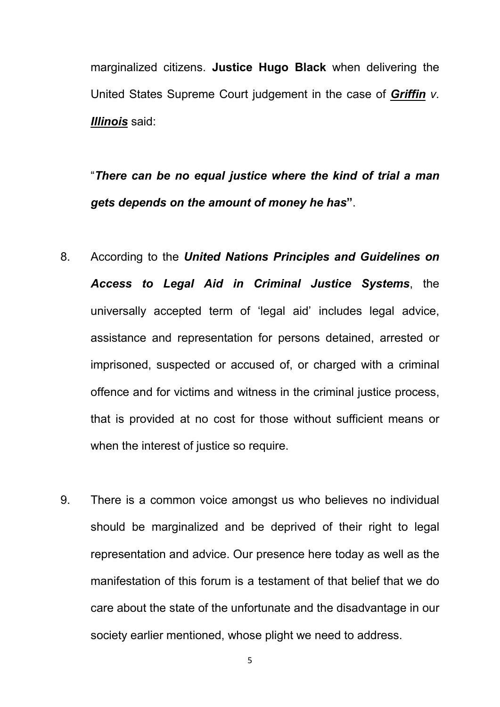marginalized citizens. **Justice Hugo Black** when delivering the United States Supreme Court judgement in the case of *Griffin v. Illinois* said:

"*There can be no equal justice where the kind of trial a man gets depends on the amount of money he has***"**.

- 8. According to the *United Nations Principles and Guidelines on Access to Legal Aid in Criminal Justice Systems*, the universally accepted term of 'legal aid' includes legal advice, assistance and representation for persons detained, arrested or imprisoned, suspected or accused of, or charged with a criminal offence and for victims and witness in the criminal justice process, that is provided at no cost for those without sufficient means or when the interest of justice so require.
- 9. There is a common voice amongst us who believes no individual should be marginalized and be deprived of their right to legal representation and advice. Our presence here today as well as the manifestation of this forum is a testament of that belief that we do care about the state of the unfortunate and the disadvantage in our society earlier mentioned, whose plight we need to address.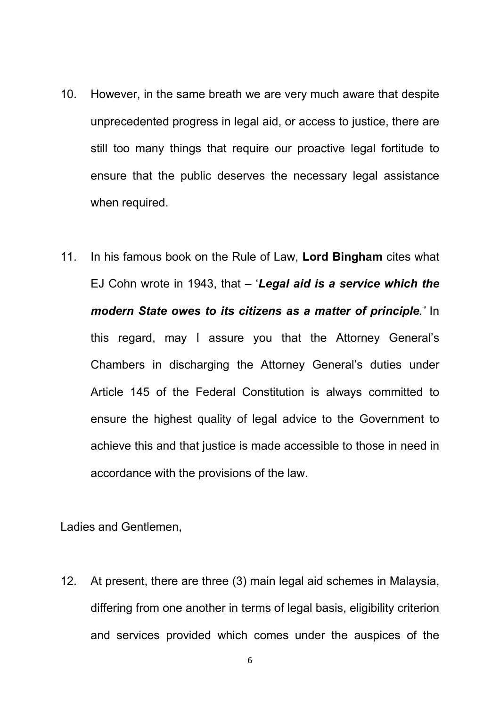- 10. However, in the same breath we are very much aware that despite unprecedented progress in legal aid, or access to justice, there are still too many things that require our proactive legal fortitude to ensure that the public deserves the necessary legal assistance when required.
- 11. In his famous book on the Rule of Law, **Lord Bingham** cites what EJ Cohn wrote in 1943, that – '*Legal aid is a service which the modern State owes to its citizens as a matter of principle.'* In this regard, may I assure you that the Attorney General's Chambers in discharging the Attorney General's duties under Article 145 of the Federal Constitution is always committed to ensure the highest quality of legal advice to the Government to achieve this and that justice is made accessible to those in need in accordance with the provisions of the law.

Ladies and Gentlemen,

12. At present, there are three (3) main legal aid schemes in Malaysia, differing from one another in terms of legal basis, eligibility criterion and services provided which comes under the auspices of the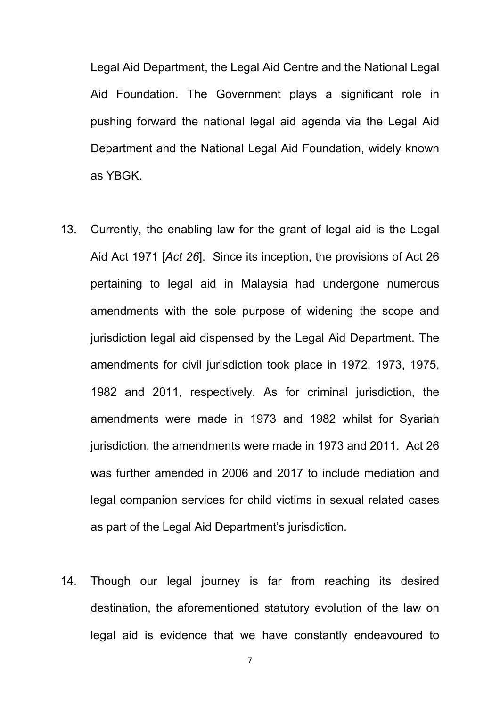Legal Aid Department, the Legal Aid Centre and the National Legal Aid Foundation. The Government plays a significant role in pushing forward the national legal aid agenda via the Legal Aid Department and the National Legal Aid Foundation, widely known as YBGK.

- 13. Currently, the enabling law for the grant of legal aid is the Legal Aid Act 1971 [*Act 26*]. Since its inception, the provisions of Act 26 pertaining to legal aid in Malaysia had undergone numerous amendments with the sole purpose of widening the scope and jurisdiction legal aid dispensed by the Legal Aid Department. The amendments for civil jurisdiction took place in 1972, 1973, 1975, 1982 and 2011, respectively. As for criminal jurisdiction, the amendments were made in 1973 and 1982 whilst for Syariah jurisdiction, the amendments were made in 1973 and 2011. Act 26 was further amended in 2006 and 2017 to include mediation and legal companion services for child victims in sexual related cases as part of the Legal Aid Department's jurisdiction.
- 14. Though our legal journey is far from reaching its desired destination, the aforementioned statutory evolution of the law on legal aid is evidence that we have constantly endeavoured to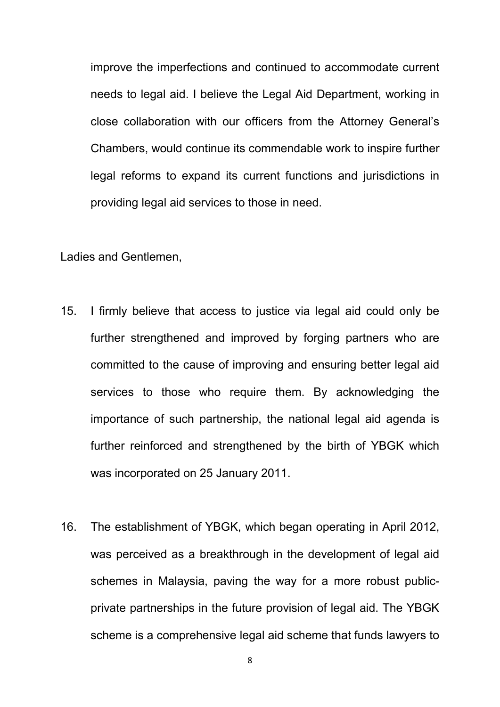improve the imperfections and continued to accommodate current needs to legal aid. I believe the Legal Aid Department, working in close collaboration with our officers from the Attorney General's Chambers, would continue its commendable work to inspire further legal reforms to expand its current functions and jurisdictions in providing legal aid services to those in need.

Ladies and Gentlemen,

- 15. I firmly believe that access to justice via legal aid could only be further strengthened and improved by forging partners who are committed to the cause of improving and ensuring better legal aid services to those who require them. By acknowledging the importance of such partnership, the national legal aid agenda is further reinforced and strengthened by the birth of YBGK which was incorporated on 25 January 2011.
- 16. The establishment of YBGK, which began operating in April 2012, was perceived as a breakthrough in the development of legal aid schemes in Malaysia, paving the way for a more robust public private partnerships in the future provision of legal aid. The YBGK scheme is a comprehensive legal aid scheme that funds lawyers to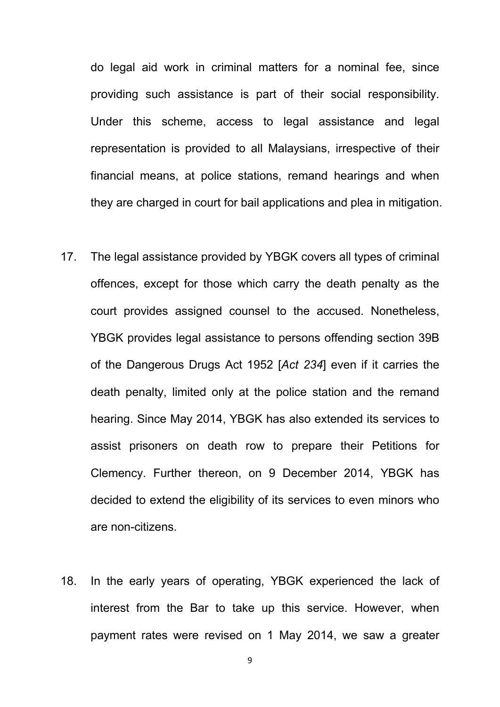do legal aid work in criminal matters for a nominal fee, since providing such assistance is part of their social responsibility. Under this scheme, access to legal assistance and legal representation is provided to all Malaysians, irrespective of their financial means, at police stations, remand hearings and when they are charged in court for bail applications and plea in mitigation.

- 17. The legal assistance provided by YBGK covers all types of criminal offences, except for those which carry the death penalty as the court provides assigned counsel to the accused. Nonetheless, YBGK provides legal assistance to persons offending section 39B of the Dangerous Drugs Act 1952 [*Act 234*] even if it carries the death penalty, limited only at the police station and the remand hearing. Since May 2014, YBGK has also extended its services to assist prisoners on death row to prepare their Petitions for Clemency. Further thereon, on 9 December 2014, YBGK has decided to extend the eligibility of its services to even minors who are non-citizens.
- 18. In the early years of operating, YBGK experienced the lack of interest from the Bar to take up this service. However, when payment rates were revised on 1 May 2014, we saw a greater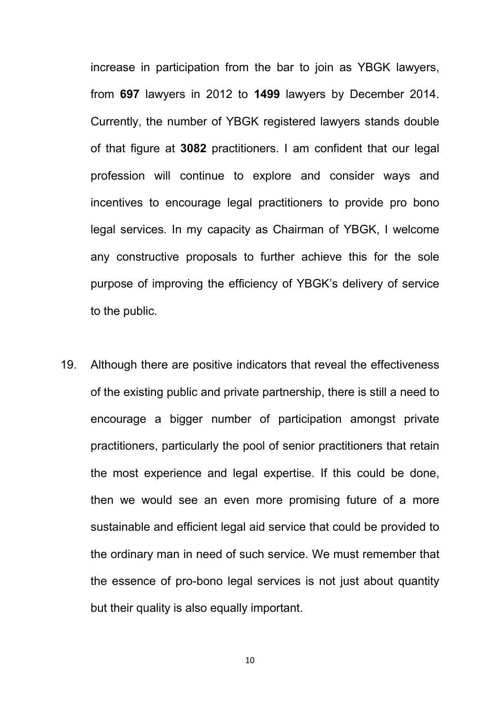increase in participation from the bar to join as YBGK lawyers, from **697** lawyers in 2012 to **1499** lawyers by December 2014. Currently, the number of YBGK registered lawyers stands double of that figure at **3082** practitioners. I am confident that our legal profession will continue to explore and consider ways and incentives to encourage legal practitioners to provide pro bono legal services. In my capacity as Chairman of YBGK, I welcome any constructive proposals to further achieve this for the sole purpose of improving the efficiency of YBGK's delivery of service to the public.

19. Although there are positive indicators that reveal the effectiveness of the existing public and private partnership, there is still a need to encourage a bigger number of participation amongst private practitioners, particularly the pool of senior practitioners that retain the most experience and legal expertise. If this could be done, then we would see an even more promising future of a more sustainable and efficient legal aid service that could be provided to the ordinary man in need of such service. We must remember that the essence of pro-bono legal services is not just about quantity but their quality is also equally important.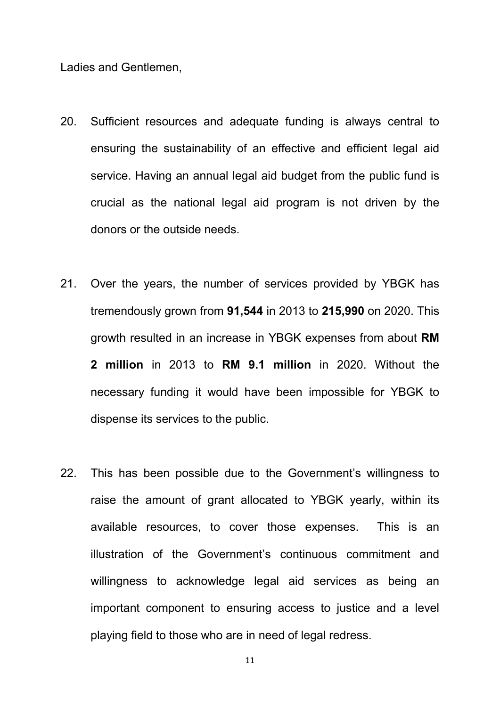Ladies and Gentlemen,

- 20. Sufficient resources and adequate funding is always central to ensuring the sustainability of an effective and efficient legal aid service. Having an annual legal aid budget from the public fund is crucial as the national legal aid program is not driven by the donors or the outside needs.
- 21. Over the years, the number of services provided by YBGK has tremendously grown from **91,544** in 2013 to **215,990** on 2020. This growth resulted in an increase in YBGK expenses from about **RM 2 million** in 2013 to **RM 9.1 million** in 2020. Without the necessary funding it would have been impossible for YBGK to dispense its services to the public.
- 22. This has been possible due to the Government's willingness to raise the amount of grant allocated to YBGK yearly, within its available resources, to cover those expenses. This is an illustration of the Government's continuous commitment and willingness to acknowledge legal aid services as being an important component to ensuring access to justice and a level playing field to those who are in need of legal redress.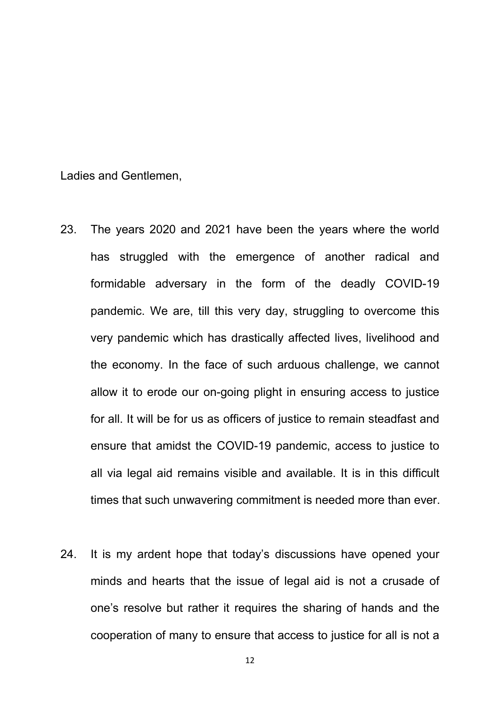Ladies and Gentlemen,

- 23. The years 2020 and 2021 have been the years where the world has struggled with the emergence of another radical and formidable adversary in the form of the deadly COVID-19 pandemic. We are, till this very day, struggling to overcome this very pandemic which has drastically affected lives, livelihood and the economy. In the face of such arduous challenge, we cannot allow it to erode our on-going plight in ensuring access to justice for all. It will be for us as officers of justice to remain steadfast and ensure that amidst the COVID-19 pandemic, access to justice to all via legal aid remains visible and available. It is in this difficult times that such unwavering commitment is needed more than ever.
- 24. It is my ardent hope that today's discussions have opened your minds and hearts that the issue of legal aid is not a crusade of one's resolve but rather it requires the sharing of hands and the cooperation of many to ensure that access to justice for all is not a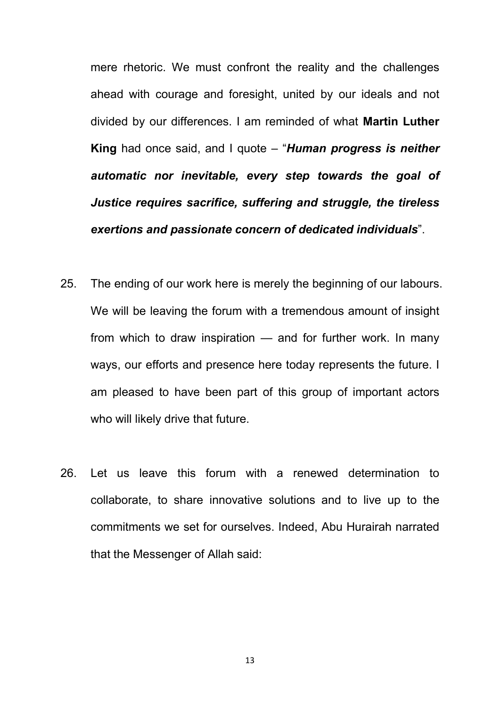mere rhetoric. We must confront the reality and the challenges ahead with courage and foresight, united by our ideals and not divided by our differences. I am reminded of what **Martin Luther King** had once said, and I quote – "*Human progress is neither automatic nor inevitable, every step towards the goal of Justice requires sacrifice, suffering and struggle, the tireless exertions and passionate concern of dedicated individuals*".

- 25. The ending of our work here is merely the beginning of our labours. We will be leaving the forum with a tremendous amount of insight from which to draw inspiration — and for further work. In many ways, our efforts and presence here today represents the future. I am pleased to have been part of this group of important actors who will likely drive that future.
- 26. Let us leave this forum with a renewed determination to collaborate, to share innovative solutions and to live up to the commitments we set for ourselves. Indeed, Abu Hurairah narrated that the Messenger of Allah said: